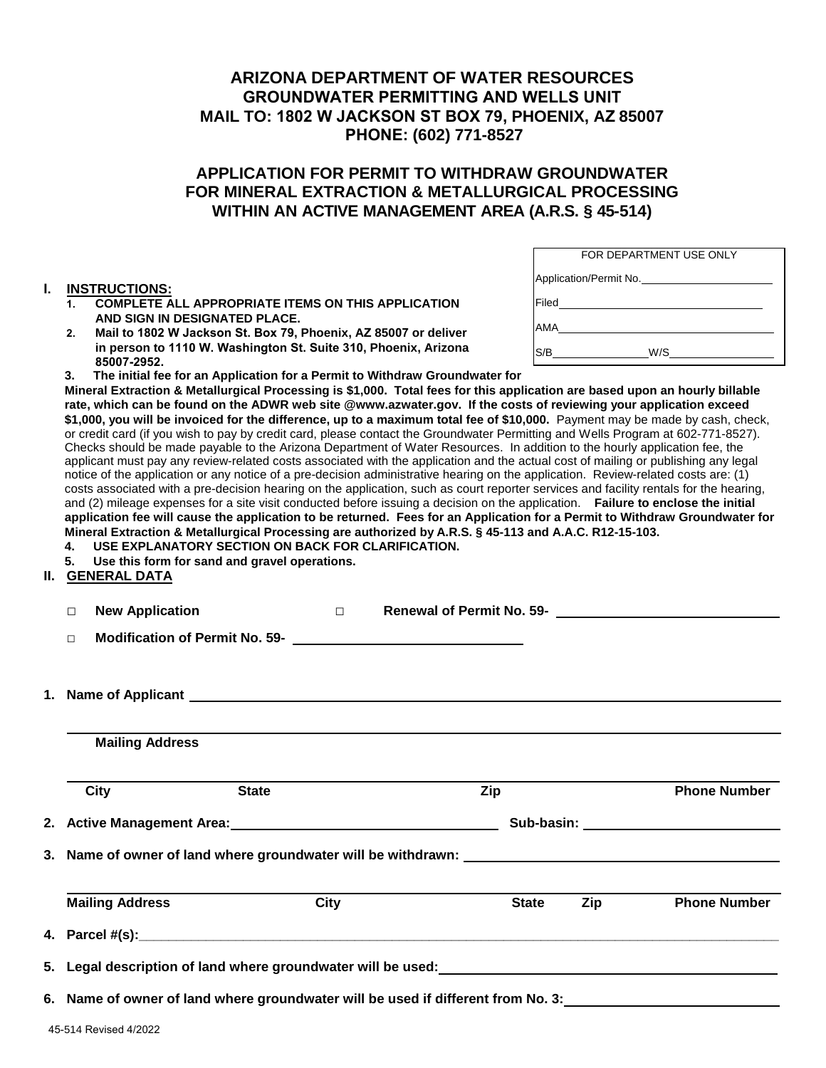## **ARIZONA DEPARTMENT OF WATER RESOURCES GROUNDWATER PERMITTING AND WELLS UNIT MAIL TO: 1802 W JACKSON ST BOX 79, PHOENIX, AZ 85007 PHONE: (602) 771-8527**

## **APPLICATION FOR PERMIT TO WITHDRAW GROUNDWATER FOR MINERAL EXTRACTION & METALLURGICAL PROCESSING WITHIN AN ACTIVE MANAGEMENT AREA (A.R.S. § 45-514)**

#### **I. INSTRUCTIONS:**

- **1. COMPLETE ALL APPROPRIATE ITEMS ON THIS APPLICATION AND SIGN IN DESIGNATED PLACE.**
- **2. Mail to 1802 W Jackson St. Box 79, Phoenix, AZ 85007 or deliver in person to 1110 W. Washington St. Suite 310, Phoenix, Arizona 85007-2952.**

|       | FOR DEPARTMENT USE ONLY |
|-------|-------------------------|
|       | Application/Permit No.  |
| Filed |                         |
| AMA   |                         |
| S/B   | W/S                     |

**3. The initial fee for an Application for a Permit to Withdraw Groundwater for**

**Mineral Extraction & Metallurgical Processing is \$1,000. Total fees for this application are based upon an hourly billable rate, which can be found on the ADWR web site @www.azwater.gov. If the costs of reviewing your application exceed** \$1,000, you will be invoiced for the difference, up to a maximum total fee of \$10,000. Payment may be made by cash, check, or credit card (if you wish to pay by credit card, please contact the Groundwater Permitting and Wells Program at 602-771-8527). Checks should be made payable to the Arizona Department of Water Resources. In addition to the hourly application fee, the applicant must pay any review-related costs associated with the application and the actual cost of mailing or publishing any legal notice of the application or any notice of a pre-decision administrative hearing on the application. Review-related costs are: (1) costs associated with a pre-decision hearing on the application, such as court reporter services and facility rentals for the hearing, and (2) mileage expenses for a site visit conducted before issuing a decision on the application. **Failure to enclose the initial application fee will cause the application to be returned. Fees for an Application for a Permit to Withdraw Groundwater for Mineral Extraction & Metallurgical Processing are authorized by A.R.S. § 45-113 and A.A.C. R12-15-103.**

- **4. USE EXPLANATORY SECTION ON BACK FOR CLARIFICATION.**
- **5. Use this form for sand and gravel operations.**

### **II. GENERAL DATA**

| <b>New Application</b><br>$\Box$                                                 | $\Box$                                     |              |                            |
|----------------------------------------------------------------------------------|--------------------------------------------|--------------|----------------------------|
| $\Box$                                                                           | Modification of Permit No. 59-<br><u> </u> |              |                            |
|                                                                                  |                                            |              |                            |
| <b>Mailing Address</b>                                                           |                                            |              |                            |
| City                                                                             | <b>State</b>                               | Zip          | <b>Phone Number</b>        |
|                                                                                  |                                            |              |                            |
|                                                                                  |                                            |              |                            |
| <b>Mailing Address</b>                                                           | City                                       | <b>State</b> | Zip<br><b>Phone Number</b> |
|                                                                                  |                                            |              |                            |
|                                                                                  |                                            |              |                            |
| 6. Name of owner of land where groundwater will be used if different from No. 3: |                                            |              |                            |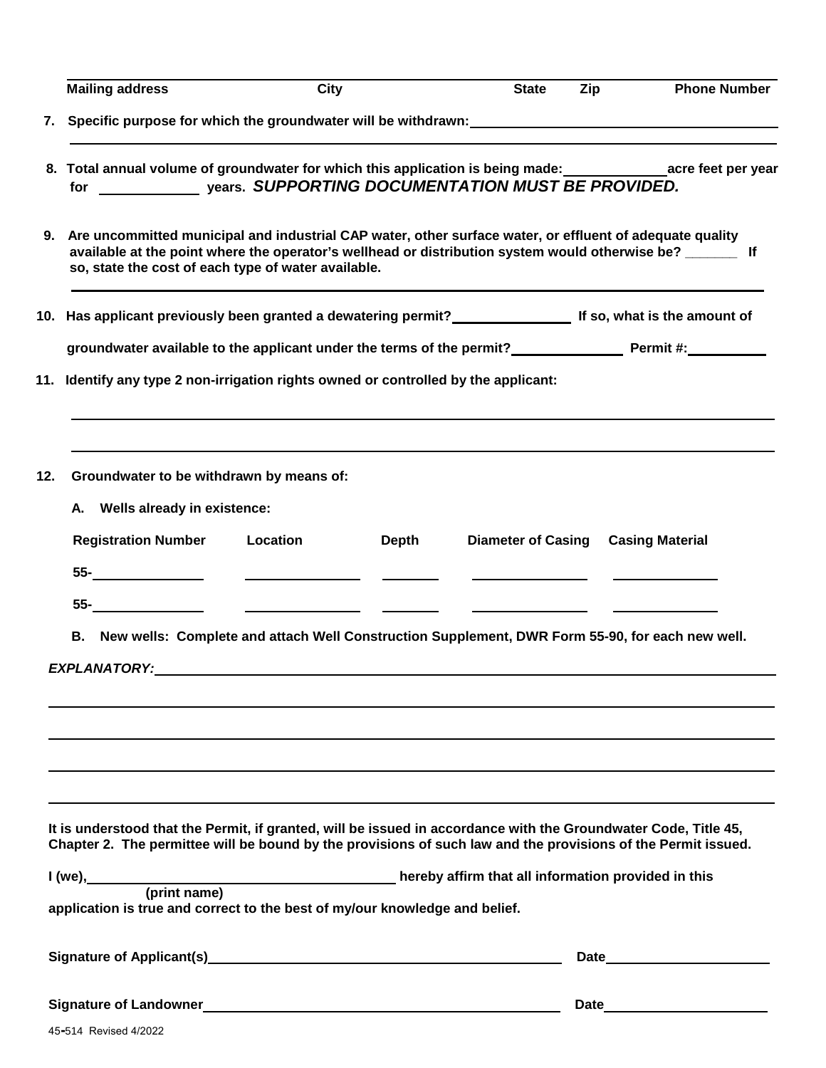|     | <b>Mailing address</b>                                                                                                                                                                                                                                                            | <b>City</b> |       | <b>State</b>              | Zip | <b>Phone Number</b>                            |  |
|-----|-----------------------------------------------------------------------------------------------------------------------------------------------------------------------------------------------------------------------------------------------------------------------------------|-------------|-------|---------------------------|-----|------------------------------------------------|--|
| 7.  |                                                                                                                                                                                                                                                                                   |             |       |                           |     |                                                |  |
|     | 8. Total annual volume of groundwater for which this application is being made: acreated acreated per year                                                                                                                                                                        |             |       |                           |     |                                                |  |
|     | 9. Are uncommitted municipal and industrial CAP water, other surface water, or effluent of adequate quality<br>available at the point where the operator's wellhead or distribution system would otherwise be? ________ If<br>so, state the cost of each type of water available. |             |       |                           |     |                                                |  |
|     | 10. Has applicant previously been granted a dewatering permit?<br>10. Has applicant previously been granted a dewatering permit?<br>10. Has applicant previously been granted a dewatering permit?                                                                                |             |       |                           |     |                                                |  |
|     | groundwater available to the applicant under the terms of the permit?<br>Fermit #:                                                                                                                                                                                                |             |       |                           |     |                                                |  |
|     | 11. Identify any type 2 non-irrigation rights owned or controlled by the applicant:                                                                                                                                                                                               |             |       |                           |     |                                                |  |
| 12. | Groundwater to be withdrawn by means of:<br>A. Wells already in existence:                                                                                                                                                                                                        |             |       |                           |     |                                                |  |
|     | <b>Registration Number</b>                                                                                                                                                                                                                                                        | Location    | Depth | <b>Diameter of Casing</b> |     | <b>Casing Material</b>                         |  |
|     | $55 \qquad \qquad$                                                                                                                                                                                                                                                                |             |       |                           |     |                                                |  |
|     |                                                                                                                                                                                                                                                                                   |             |       |                           |     | <u> The Communication of the Communication</u> |  |
|     |                                                                                                                                                                                                                                                                                   |             |       |                           |     |                                                |  |
|     | B. New wells: Complete and attach Well Construction Supplement, DWR Form 55-90, for each new well.                                                                                                                                                                                |             |       |                           |     |                                                |  |
|     |                                                                                                                                                                                                                                                                                   |             |       |                           |     |                                                |  |
|     |                                                                                                                                                                                                                                                                                   |             |       |                           |     |                                                |  |
|     |                                                                                                                                                                                                                                                                                   |             |       |                           |     |                                                |  |
|     |                                                                                                                                                                                                                                                                                   |             |       |                           |     |                                                |  |
|     |                                                                                                                                                                                                                                                                                   |             |       |                           |     |                                                |  |
|     |                                                                                                                                                                                                                                                                                   |             |       |                           |     |                                                |  |
|     | It is understood that the Permit, if granted, will be issued in accordance with the Groundwater Code, Title 45,<br>Chapter 2. The permittee will be bound by the provisions of such law and the provisions of the Permit issued.                                                  |             |       |                           |     |                                                |  |
|     | I (we), (print name) (and the same of the set of the set of the set of the set of the set of the set of the set of the set of the set of the set of the set of the set of the set of the set of the set of the set of the set                                                     |             |       |                           |     |                                                |  |
|     | application is true and correct to the best of my/our knowledge and belief.                                                                                                                                                                                                       |             |       |                           |     |                                                |  |
|     | Signature of Applicant(s) Signature of Applicant (s)                                                                                                                                                                                                                              |             |       |                           |     | Date                                           |  |
|     |                                                                                                                                                                                                                                                                                   |             |       |                           |     | Date <u>example</u>                            |  |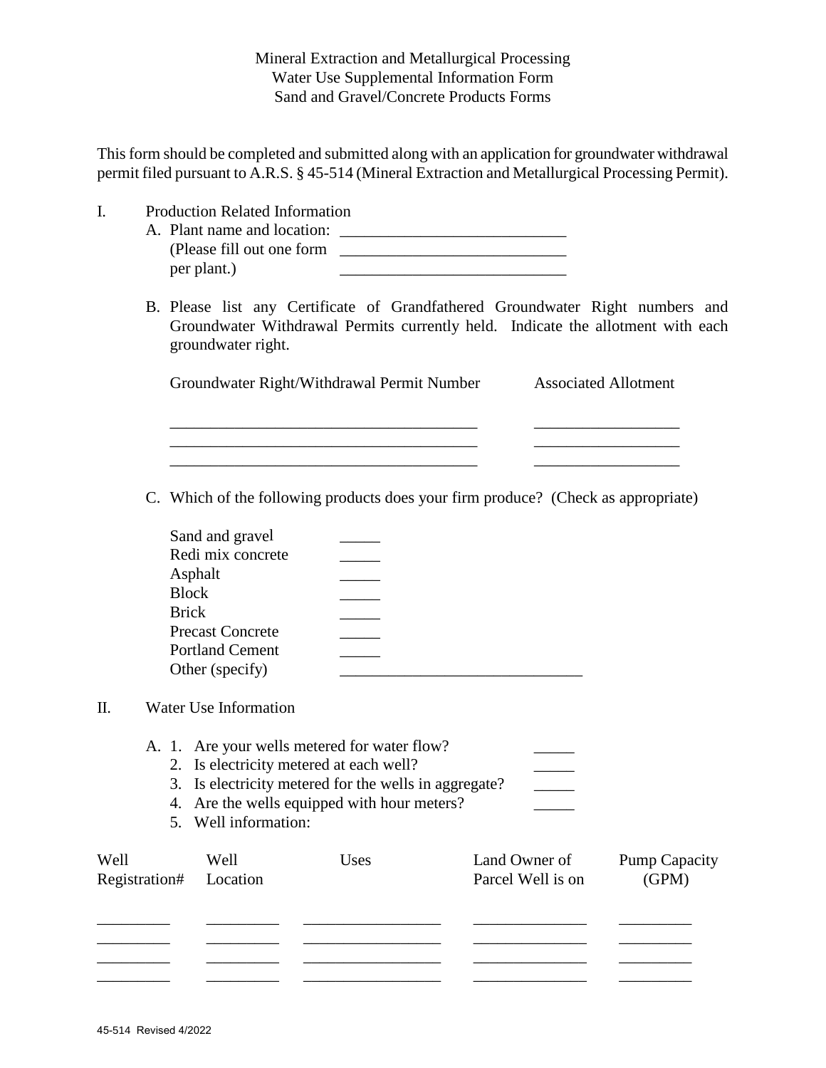Mineral Extraction and Metallurgical Processing Water Use Supplemental Information Form Sand and Gravel/Concrete Products Forms

This form should be completed and submitted along with an application for groundwater withdrawal permit filed pursuant to A.R.S. § 45-514 (Mineral Extraction and Metallurgical Processing Permit).

- I. Production Related Information
	- A. Plant name and location: \_\_\_\_\_\_\_\_\_\_\_\_\_\_\_\_\_\_\_\_\_\_\_\_\_\_\_\_ (Please fill out one form \_\_\_\_\_\_\_\_\_\_\_\_\_\_\_\_\_\_\_\_\_\_\_\_\_\_\_\_ per plant.)

 $\frac{1}{2}$  ,  $\frac{1}{2}$  ,  $\frac{1}{2}$  ,  $\frac{1}{2}$  ,  $\frac{1}{2}$  ,  $\frac{1}{2}$  ,  $\frac{1}{2}$  ,  $\frac{1}{2}$  ,  $\frac{1}{2}$  ,  $\frac{1}{2}$  ,  $\frac{1}{2}$  ,  $\frac{1}{2}$  ,  $\frac{1}{2}$  ,  $\frac{1}{2}$  ,  $\frac{1}{2}$  ,  $\frac{1}{2}$  ,  $\frac{1}{2}$  ,  $\frac{1}{2}$  ,  $\frac{1$ 

B. Please list any Certificate of Grandfathered Groundwater Right numbers and Groundwater Withdrawal Permits currently held. Indicate the allotment with each groundwater right.

Groundwater Right/Withdrawal Permit Number Associated Allotment

\_\_\_\_\_\_\_\_\_\_\_\_\_\_\_\_\_\_\_\_\_\_\_\_\_\_\_\_\_\_\_\_\_\_\_\_\_\_ \_\_\_\_\_\_\_\_\_\_\_\_\_\_\_\_\_\_ \_\_\_\_\_\_\_\_\_\_\_\_\_\_\_\_\_\_\_\_\_\_\_\_\_\_\_\_\_\_\_\_\_\_\_\_\_\_ \_\_\_\_\_\_\_\_\_\_\_\_\_\_\_\_\_\_

C. Which of the following products does your firm produce? (Check as appropriate)

| Sand and gravel         |  |
|-------------------------|--|
| Redi mix concrete       |  |
| Asphalt                 |  |
| <b>Block</b>            |  |
| <b>Brick</b>            |  |
| <b>Precast Concrete</b> |  |
| <b>Portland Cement</b>  |  |
| Other (specify)         |  |

## II. Water Use Information

- A. 1. Are your wells metered for water flow?
	- 2. Is electricity metered at each well?
	- 3. Is electricity metered for the wells in aggregate? \_\_\_\_\_
	- 4. Are the wells equipped with hour meters?
	- 5. Well information:

| Well<br>Registration# | Well<br>Location | Uses | Land Owner of<br>Parcel Well is on | <b>Pump Capacity</b><br>(GPM) |
|-----------------------|------------------|------|------------------------------------|-------------------------------|
|                       |                  |      |                                    |                               |
|                       |                  |      |                                    |                               |
|                       |                  |      |                                    |                               |
|                       |                  |      |                                    |                               |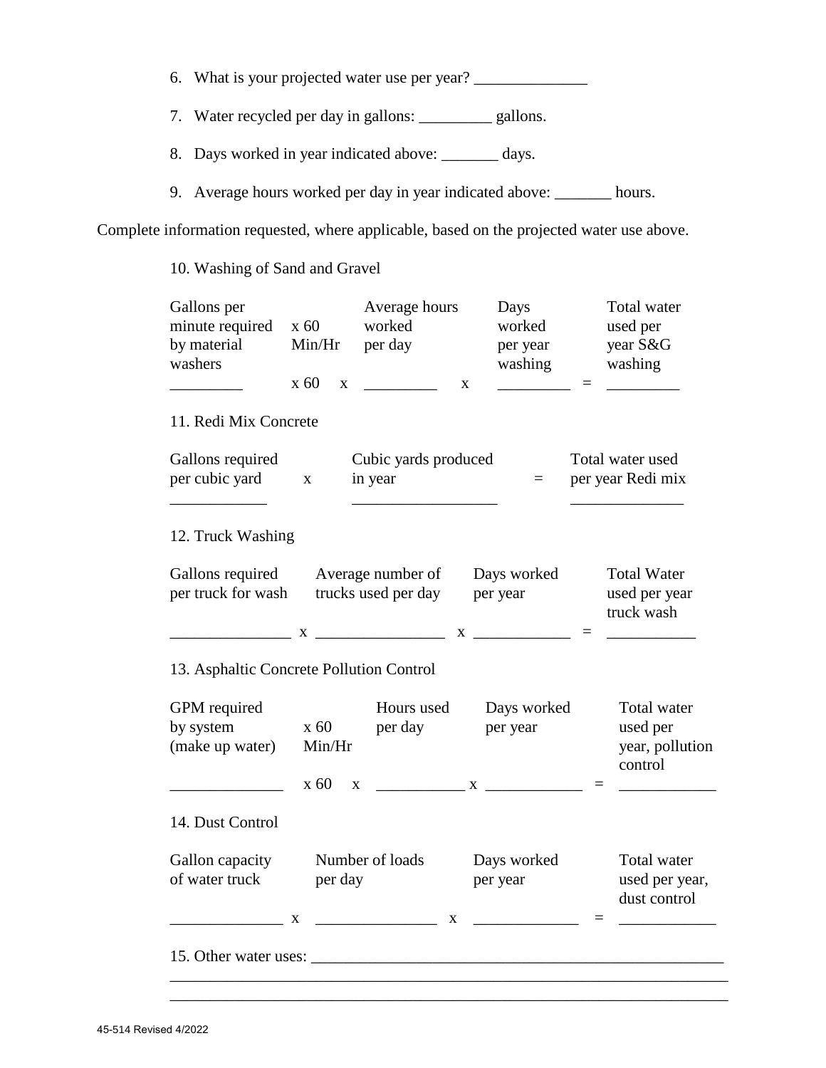- 6. What is your projected water use per year? \_\_\_\_\_\_\_\_\_\_\_\_\_\_\_\_\_\_\_\_\_\_\_\_\_\_\_\_\_\_\_\_\_\_\_
- 7. Water recycled per day in gallons: \_\_\_\_\_\_\_\_\_ gallons.
- 8. Days worked in year indicated above: \_\_\_\_\_\_\_ days.
- 9. Average hours worked per day in year indicated above: \_\_\_\_\_\_\_ hours.

Complete information requested, where applicable, based on the projected water use above.

10. Washing of Sand and Gravel

| Gallons per<br>minute required               | x 60                     | Average hours<br>worked                    | Days<br>worked                                                                                                                                                                                                                                                                                                              | Total water<br>used per                               |
|----------------------------------------------|--------------------------|--------------------------------------------|-----------------------------------------------------------------------------------------------------------------------------------------------------------------------------------------------------------------------------------------------------------------------------------------------------------------------------|-------------------------------------------------------|
| by material<br>washers                       | Min/Hr                   | per day                                    | per year<br>washing                                                                                                                                                                                                                                                                                                         | year S&G<br>washing                                   |
|                                              | x 60<br>$\mathbf{X}$     |                                            | $\mathbf X$                                                                                                                                                                                                                                                                                                                 | $=$                                                   |
| 11. Redi Mix Concrete                        |                          |                                            |                                                                                                                                                                                                                                                                                                                             |                                                       |
| Gallons required<br>per cubic yard x         |                          | Cubic yards produced<br>in year            | $=$                                                                                                                                                                                                                                                                                                                         | Total water used<br>per year Redi mix                 |
| 12. Truck Washing                            |                          |                                            |                                                                                                                                                                                                                                                                                                                             |                                                       |
| Gallons required<br>per truck for wash       |                          | Average number of<br>trucks used per day   | Days worked<br>per year<br>$X$ and $X$ and $X$ and $X$ and $X$ and $X$ and $X$ and $X$ and $X$ and $X$ and $X$ and $X$ and $X$ and $X$ and $X$ and $X$ and $X$ and $X$ and $X$ and $X$ and $X$ and $X$ and $X$ and $X$ and $X$ and $X$ and $X$ and $X$ a                                                                    | <b>Total Water</b><br>used per year<br>truck wash     |
| 13. Asphaltic Concrete Pollution Control     |                          |                                            |                                                                                                                                                                                                                                                                                                                             |                                                       |
| GPM required<br>by system<br>(make up water) | x 60<br>Min/Hr<br>x 60 x | Hours used<br>per day                      | Days worked<br>per year<br>$\mathbf{X}$ and $\mathbf{X}$ and $\mathbf{X}$ and $\mathbf{X}$ and $\mathbf{X}$ and $\mathbf{X}$ and $\mathbf{X}$ and $\mathbf{X}$ and $\mathbf{X}$ and $\mathbf{X}$ and $\mathbf{X}$ and $\mathbf{X}$ and $\mathbf{X}$ and $\mathbf{X}$ and $\mathbf{X}$ and $\mathbf{X}$ and $\mathbf{X}$ and | Total water<br>used per<br>year, pollution<br>control |
| 14. Dust Control                             |                          |                                            |                                                                                                                                                                                                                                                                                                                             |                                                       |
| Gallon capacity<br>of water truck            | per day<br>X             | Number of loads<br>$\overline{\mathbf{X}}$ | Days worked<br>per year                                                                                                                                                                                                                                                                                                     | Total water<br>used per year,<br>dust control         |
|                                              |                          |                                            |                                                                                                                                                                                                                                                                                                                             |                                                       |

\_\_\_\_\_\_\_\_\_\_\_\_\_\_\_\_\_\_\_\_\_\_\_\_\_\_\_\_\_\_\_\_\_\_\_\_\_\_\_\_\_\_\_\_\_\_\_\_\_\_\_\_\_\_\_\_\_\_\_\_\_\_\_\_\_\_\_\_\_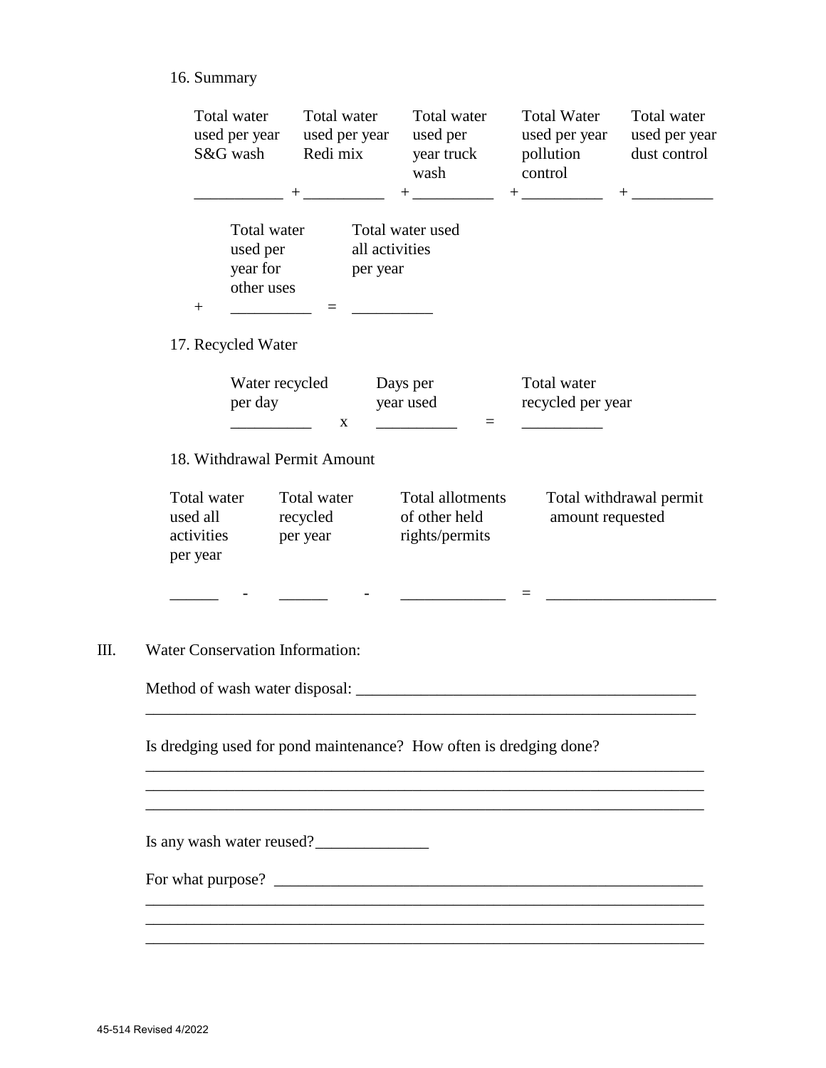# 16. Summary

|                                        | Total water<br>used per year<br>S&G wash          | Total water<br>used per year<br>Redi mix                | Total water<br>used per<br>year truck<br>wash<br>$+$ ______________ | <b>Total Water</b><br>used per year<br>pollution<br>control | Total water<br>used per year<br>dust control |  |
|----------------------------------------|---------------------------------------------------|---------------------------------------------------------|---------------------------------------------------------------------|-------------------------------------------------------------|----------------------------------------------|--|
| $^{+}$                                 | Total water<br>used per<br>year for<br>other uses | all activities<br>per year                              | Total water used                                                    |                                                             |                                              |  |
|                                        | 17. Recycled Water                                |                                                         |                                                                     |                                                             |                                              |  |
|                                        | per day                                           | Water recycled<br>X                                     | Days per<br>year used<br>$\equiv$                                   |                                                             | Total water<br>recycled per year             |  |
| Total water<br>used all                |                                                   | 18. Withdrawal Permit Amount<br>Total water<br>recycled | Total allotments<br>of other held                                   | amount requested                                            | Total withdrawal permit                      |  |
| activities<br>per year                 |                                                   | per year                                                | rights/permits                                                      |                                                             |                                              |  |
| <b>Water Conservation Information:</b> |                                                   |                                                         |                                                                     |                                                             |                                              |  |
|                                        |                                                   |                                                         |                                                                     |                                                             |                                              |  |
|                                        |                                                   |                                                         | Is dredging used for pond maintenance? How often is dredging done?  |                                                             |                                              |  |
|                                        |                                                   |                                                         |                                                                     |                                                             |                                              |  |
|                                        |                                                   | Is any wash water reused?                               |                                                                     |                                                             |                                              |  |
|                                        |                                                   |                                                         |                                                                     |                                                             |                                              |  |